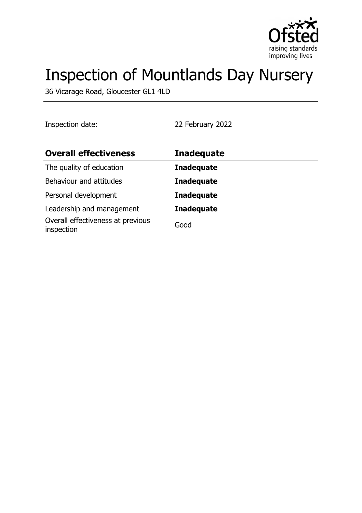

# Inspection of Mountlands Day Nursery

36 Vicarage Road, Gloucester GL1 4LD

Inspection date: 22 February 2022

| <b>Overall effectiveness</b>                    | <b>Inadequate</b> |
|-------------------------------------------------|-------------------|
| The quality of education                        | <b>Inadequate</b> |
| Behaviour and attitudes                         | <b>Inadequate</b> |
| Personal development                            | <b>Inadequate</b> |
| Leadership and management                       | <b>Inadequate</b> |
| Overall effectiveness at previous<br>inspection | Good              |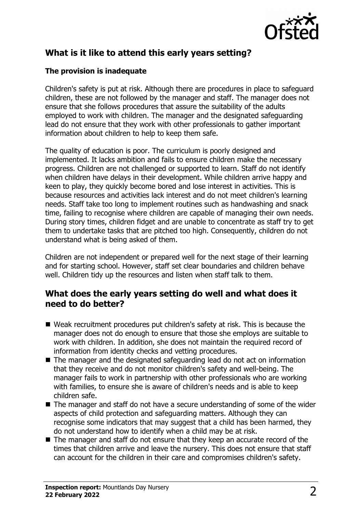

# **What is it like to attend this early years setting?**

## **The provision is inadequate**

Children's safety is put at risk. Although there are procedures in place to safeguard children, these are not followed by the manager and staff. The manager does not ensure that she follows procedures that assure the suitability of the adults employed to work with children. The manager and the designated safeguarding lead do not ensure that they work with other professionals to gather important information about children to help to keep them safe.

The quality of education is poor. The curriculum is poorly designed and implemented. It lacks ambition and fails to ensure children make the necessary progress. Children are not challenged or supported to learn. Staff do not identify when children have delays in their development. While children arrive happy and keen to play, they quickly become bored and lose interest in activities. This is because resources and activities lack interest and do not meet children's learning needs. Staff take too long to implement routines such as handwashing and snack time, failing to recognise where children are capable of managing their own needs. During story times, children fidget and are unable to concentrate as staff try to get them to undertake tasks that are pitched too high. Consequently, children do not understand what is being asked of them.

Children are not independent or prepared well for the next stage of their learning and for starting school. However, staff set clear boundaries and children behave well. Children tidy up the resources and listen when staff talk to them.

## **What does the early years setting do well and what does it need to do better?**

- $\blacksquare$  Weak recruitment procedures put children's safety at risk. This is because the manager does not do enough to ensure that those she employs are suitable to work with children. In addition, she does not maintain the required record of information from identity checks and vetting procedures.
- $\blacksquare$  The manager and the designated safeguarding lead do not act on information that they receive and do not monitor children's safety and well-being. The manager fails to work in partnership with other professionals who are working with families, to ensure she is aware of children's needs and is able to keep children safe.
- $\blacksquare$  The manager and staff do not have a secure understanding of some of the wider aspects of child protection and safeguarding matters. Although they can recognise some indicators that may suggest that a child has been harmed, they do not understand how to identify when a child may be at risk.
- $\blacksquare$  The manager and staff do not ensure that they keep an accurate record of the times that children arrive and leave the nursery. This does not ensure that staff can account for the children in their care and compromises children's safety.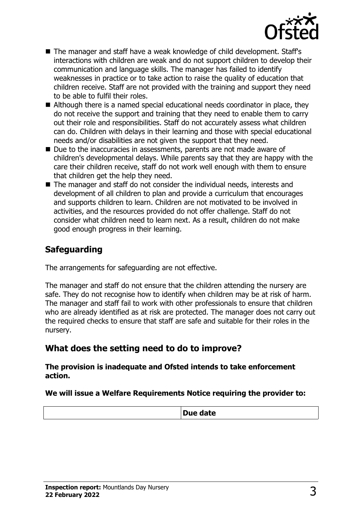

- The manager and staff have a weak knowledge of child development. Staff's interactions with children are weak and do not support children to develop their communication and language skills. The manager has failed to identify weaknesses in practice or to take action to raise the quality of education that children receive. Staff are not provided with the training and support they need to be able to fulfil their roles.
- $\blacksquare$  Although there is a named special educational needs coordinator in place, they do not receive the support and training that they need to enable them to carry out their role and responsibilities. Staff do not accurately assess what children can do. Children with delays in their learning and those with special educational needs and/or disabilities are not given the support that they need.
- $\blacksquare$  Due to the inaccuracies in assessments, parents are not made aware of children's developmental delays. While parents say that they are happy with the care their children receive, staff do not work well enough with them to ensure that children get the help they need.
- $\blacksquare$  The manager and staff do not consider the individual needs, interests and development of all children to plan and provide a curriculum that encourages and supports children to learn. Children are not motivated to be involved in activities, and the resources provided do not offer challenge. Staff do not consider what children need to learn next. As a result, children do not make good enough progress in their learning.

## **Safeguarding**

The arrangements for safeguarding are not effective.

The manager and staff do not ensure that the children attending the nursery are safe. They do not recognise how to identify when children may be at risk of harm. The manager and staff fail to work with other professionals to ensure that children who are already identified as at risk are protected. The manager does not carry out the required checks to ensure that staff are safe and suitable for their roles in the nursery.

## **What does the setting need to do to improve?**

**The provision is inadequate and Ofsted intends to take enforcement action.**

#### **We will issue a Welfare Requirements Notice requiring the provider to:**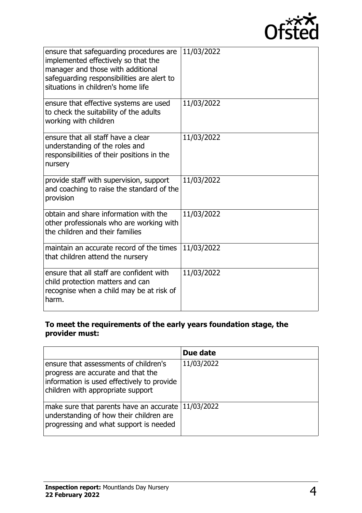

| ensure that safeguarding procedures are<br>implemented effectively so that the<br>manager and those with additional<br>safeguarding responsibilities are alert to<br>situations in children's home life | 11/03/2022 |
|---------------------------------------------------------------------------------------------------------------------------------------------------------------------------------------------------------|------------|
| ensure that effective systems are used<br>to check the suitability of the adults<br>working with children                                                                                               | 11/03/2022 |
| ensure that all staff have a clear<br>understanding of the roles and<br>responsibilities of their positions in the<br>nursery                                                                           | 11/03/2022 |
| provide staff with supervision, support<br>and coaching to raise the standard of the<br>provision                                                                                                       | 11/03/2022 |
| obtain and share information with the<br>other professionals who are working with<br>the children and their families                                                                                    | 11/03/2022 |
| maintain an accurate record of the times<br>that children attend the nursery                                                                                                                            | 11/03/2022 |
| ensure that all staff are confident with<br>child protection matters and can<br>recognise when a child may be at risk of<br>harm.                                                                       | 11/03/2022 |

#### **To meet the requirements of the early years foundation stage, the provider must:**

|                                                                                                                                                                | Due date   |
|----------------------------------------------------------------------------------------------------------------------------------------------------------------|------------|
| ensure that assessments of children's<br>progress are accurate and that the<br>information is used effectively to provide<br>children with appropriate support | 11/03/2022 |
| make sure that parents have an accurate<br>understanding of how their children are<br>progressing and what support is needed                                   | 11/03/2022 |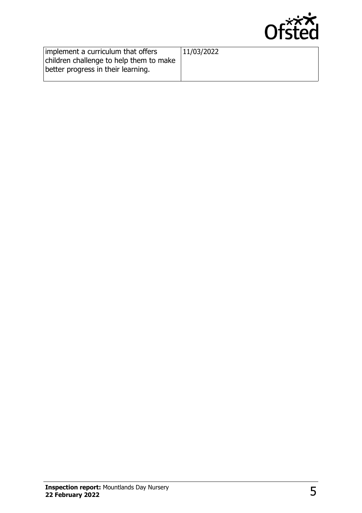

| implement a curriculum that offers<br>children challenge to help them to make | 11/03/2022 |
|-------------------------------------------------------------------------------|------------|
| better progress in their learning.                                            |            |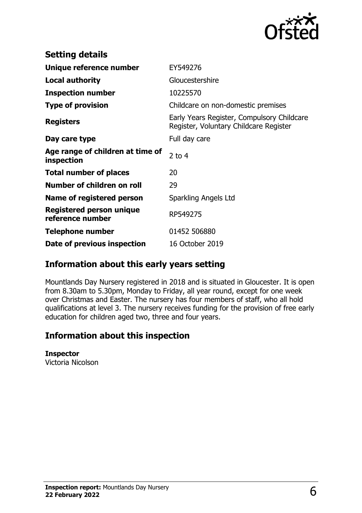

| <b>Setting details</b>                         |                                                                                      |
|------------------------------------------------|--------------------------------------------------------------------------------------|
| Unique reference number                        | EY549276                                                                             |
| <b>Local authority</b>                         | Gloucestershire                                                                      |
| <b>Inspection number</b>                       | 10225570                                                                             |
| <b>Type of provision</b>                       | Childcare on non-domestic premises                                                   |
| <b>Registers</b>                               | Early Years Register, Compulsory Childcare<br>Register, Voluntary Childcare Register |
| Day care type                                  | Full day care                                                                        |
| Age range of children at time of<br>inspection | 2 to $4$                                                                             |
| <b>Total number of places</b>                  | 20                                                                                   |
| Number of children on roll                     | 29                                                                                   |
| Name of registered person                      | Sparkling Angels Ltd                                                                 |
| Registered person unique<br>reference number   | RP549275                                                                             |
| Telephone number                               | 01452 506880                                                                         |
| Date of previous inspection                    | 16 October 2019                                                                      |

# **Information about this early years setting**

Mountlands Day Nursery registered in 2018 and is situated in Gloucester. It is open from 8.30am to 5.30pm, Monday to Friday, all year round, except for one week over Christmas and Easter. The nursery has four members of staff, who all hold qualifications at level 3. The nursery receives funding for the provision of free early education for children aged two, three and four years.

## **Information about this inspection**

#### **Inspector**

Victoria Nicolson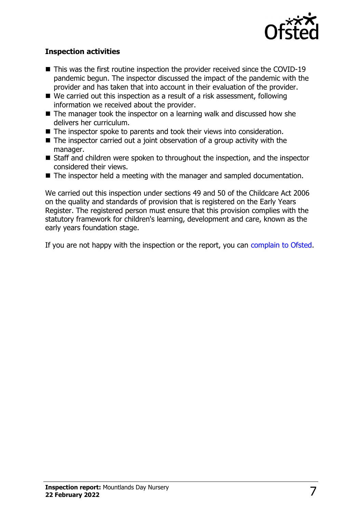

### **Inspection activities**

- $\blacksquare$  This was the first routine inspection the provider received since the COVID-19 pandemic begun. The inspector discussed the impact of the pandemic with the provider and has taken that into account in their evaluation of the provider.
- $\blacksquare$  We carried out this inspection as a result of a risk assessment, following information we received about the provider.
- $\blacksquare$  The manager took the inspector on a learning walk and discussed how she delivers her curriculum.
- $\blacksquare$  The inspector spoke to parents and took their views into consideration.
- $\blacksquare$  The inspector carried out a joint observation of a group activity with the manager.
- Staff and children were spoken to throughout the inspection, and the inspector considered their views.
- $\blacksquare$  The inspector held a meeting with the manager and sampled documentation.

We carried out this inspection under sections 49 and 50 of the Childcare Act 2006 on the quality and standards of provision that is registered on the Early Years Register. The registered person must ensure that this provision complies with the statutory framework for children's learning, development and care, known as the early years foundation stage.

If you are not happy with the inspection or the report, you can [complain to Ofsted](http://www.gov.uk/complain-ofsted-report).